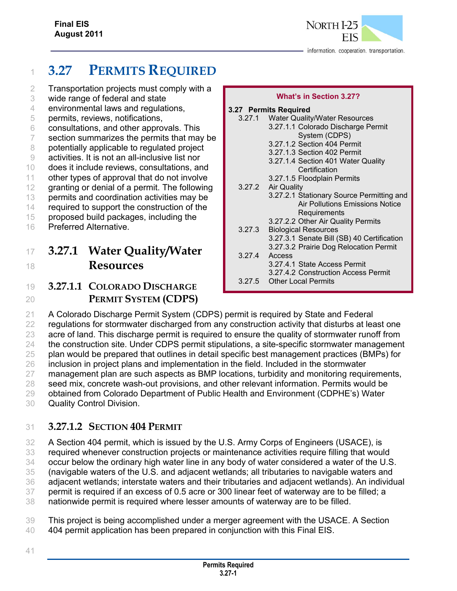# <sup>1</sup> **3.27 PERMITS REQUIRED**

2 Transportation projects must comply with a

- 3 wide range of federal and state
- 4 environmental laws and regulations,
- 5 permits, reviews, notifications,
- 6 consultations, and other approvals. This
- 7 section summarizes the permits that may be
- 8 potentially applicable to regulated project
- 9 activities. It is not an all-inclusive list nor
- 10 does it include reviews, consultations, and
- 11 other types of approval that do not involve
- 12 granting or denial of a permit. The following
- 13 permits and coordination activities may be
- 14 required to support the construction of the
- 15 proposed build packages, including the
- 16 Preferred Alternative.

# <sup>17</sup> **3.27.1 Water Quality/Water**  <sup>18</sup> **Resources**

## 19 **3.27.1.1 COLORADO DISCHARGE**  20 **PERMIT SYSTEM (CDPS)**

| 3.27 Permits Required |                                            |
|-----------------------|--------------------------------------------|
|                       | 3.27.1 Water Quality/Water Resources       |
|                       | 3.27.1.1 Colorado Discharge Permit         |
|                       | System (CDPS)                              |
|                       | 3.27.1.2 Section 404 Permit                |
|                       | 3.27.1.3 Section 402 Permit                |
|                       | 3.27.1.4 Section 401 Water Quality         |
|                       | Certification                              |
|                       | 3.27.1.5 Floodplain Permits                |
|                       | 3.27.2 Air Quality                         |
|                       | 3.27.2.1 Stationary Source Permitting and  |
|                       | Air Pollutions Emissions Notice            |
|                       | Requirements                               |
|                       | 3.27.2.2 Other Air Quality Permits         |
| 3.27.3                | <b>Biological Resources</b>                |
|                       | 3.27.3.1 Senate Bill (SB) 40 Certification |
|                       | 3.27.3.2 Prairie Dog Relocation Permit     |
| 3.27.4                | Access                                     |
|                       | 3.27.4.1 State Access Permit               |
|                       | 3.27.4.2 Construction Access Permit        |

**What's in Section 3.27?** 

3.27.5 Other Local Permits

 A Colorado Discharge Permit System (CDPS) permit is required by State and Federal 22 regulations for stormwater discharged from any construction activity that disturbs at least one acre of land. This discharge permit is required to ensure the quality of stormwater runoff from the construction site. Under CDPS permit stipulations, a site-specific stormwater management 25 plan would be prepared that outlines in detail specific best management practices (BMPs) for inclusion in project plans and implementation in the field. Included in the stormwater 27 management plan are such aspects as BMP locations, turbidity and monitoring requirements, seed mix, concrete wash-out provisions, and other relevant information. Permits would be obtained from Colorado Department of Public Health and Environment (CDPHE's) Water Quality Control Division.

### 31 **3.27.1.2 SECTION 404 PERMIT**

32 A Section 404 permit, which is issued by the U.S. Army Corps of Engineers (USACE), is

33 required whenever construction projects or maintenance activities require filling that would

34 occur below the ordinary high water line in any body of water considered a water of the U.S.

35 (navigable waters of the U.S. and adjacent wetlands; all tributaries to navigable waters and

36 adjacent wetlands; interstate waters and their tributaries and adjacent wetlands). An individual

37 permit is required if an excess of 0.5 acre or 300 linear feet of waterway are to be filled; a 38 nationwide permit is required where lesser amounts of waterway are to be filled.

39 This project is being accomplished under a merger agreement with the USACE. A Section 40 404 permit application has been prepared in conjunction with this Final EIS.

41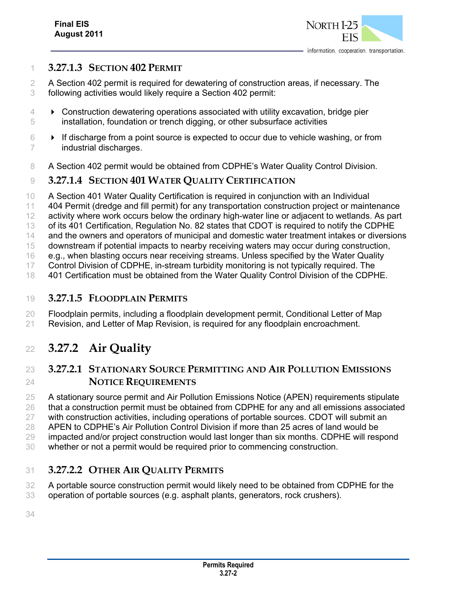

#### **3.27.1.3 SECTION 402 PERMIT**

 A Section 402 permit is required for dewatering of construction areas, if necessary. The following activities would likely require a Section 402 permit:

- Construction dewatering operations associated with utility excavation, bridge pier installation, foundation or trench digging, or other subsurface activities
- $6 \rightarrow$  If discharge from a point source is expected to occur due to vehicle washing, or from industrial discharges.
- 8 A Section 402 permit would be obtained from CDPHE's Water Quality Control Division.

#### **3.27.1.4 SECTION 401 WATER QUALITY CERTIFICATION**

- A Section 401 Water Quality Certification is required in conjunction with an Individual
- 404 Permit (dredge and fill permit) for any transportation construction project or maintenance
- 12 activity where work occurs below the ordinary high-water line or adiacent to wetlands. As part
- of its 401 Certification, Regulation No. 82 states that CDOT is required to notify the CDPHE
- and the owners and operators of municipal and domestic water treatment intakes or diversions
- downstream if potential impacts to nearby receiving waters may occur during construction,
- e.g., when blasting occurs near receiving streams. Unless specified by the Water Quality
- Control Division of CDPHE, in-stream turbidity monitoring is not typically required. The
- 401 Certification must be obtained from the Water Quality Control Division of the CDPHE.

#### **3.27.1.5 FLOODPLAIN PERMITS**

 Floodplain permits, including a floodplain development permit, Conditional Letter of Map Revision, and Letter of Map Revision, is required for any floodplain encroachment.

# **3.27.2 Air Quality**

### **3.27.2.1 STATIONARY SOURCE PERMITTING AND AIR POLLUTION EMISSIONS NOTICE REQUIREMENTS**

 A stationary source permit and Air Pollution Emissions Notice (APEN) requirements stipulate that a construction permit must be obtained from CDPHE for any and all emissions associated with construction activities, including operations of portable sources. CDOT will submit an APEN to CDPHE's Air Pollution Control Division if more than 25 acres of land would be impacted and/or project construction would last longer than six months. CDPHE will respond whether or not a permit would be required prior to commencing construction.

### **3.27.2.2 OTHER AIR QUALITY PERMITS**

 A portable source construction permit would likely need to be obtained from CDPHE for the operation of portable sources (e.g. asphalt plants, generators, rock crushers).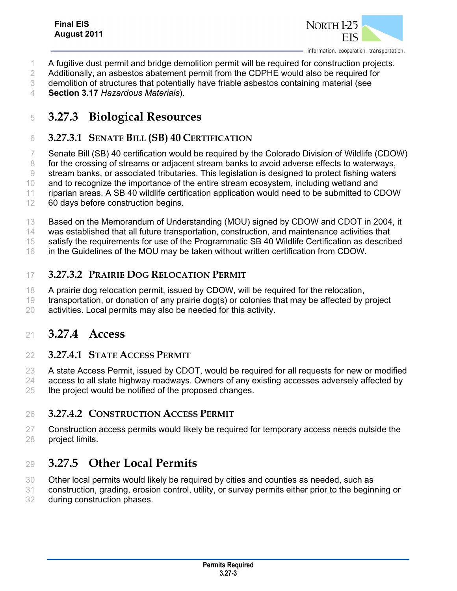

- A fugitive dust permit and bridge demolition permit will be required for construction projects.
- Additionally, an asbestos abatement permit from the CDPHE would also be required for
- demolition of structures that potentially have friable asbestos containing material (see
- **Section 3.17** *Hazardous Materials*).

# **3.27.3 Biological Resources**

### **3.27.3.1 SENATE BILL (SB) 40 CERTIFICATION**

Senate Bill (SB) 40 certification would be required by the Colorado Division of Wildlife (CDOW)

8 for the crossing of streams or adjacent stream banks to avoid adverse effects to waterways, stream banks, or associated tributaries. This legislation is designed to protect fishing waters

and to recognize the importance of the entire stream ecosystem, including wetland and

riparian areas. A SB 40 wildlife certification application would need to be submitted to CDOW

- 60 days before construction begins.
- Based on the Memorandum of Understanding (MOU) signed by CDOW and CDOT in 2004, it

was established that all future transportation, construction, and maintenance activities that

satisfy the requirements for use of the Programmatic SB 40 Wildlife Certification as described

in the Guidelines of the MOU may be taken without written certification from CDOW.

### **3.27.3.2 PRAIRIE DOG RELOCATION PERMIT**

18 A prairie dog relocation permit, issued by CDOW, will be required for the relocation,

- transportation, or donation of any prairie dog(s) or colonies that may be affected by project
- activities. Local permits may also be needed for this activity.

### **3.27.4 Access**

#### **3.27.4.1 STATE ACCESS PERMIT**

 A state Access Permit, issued by CDOT, would be required for all requests for new or modified 24 access to all state highway roadways. Owners of any existing accesses adversely affected by

25 the project would be notified of the proposed changes.

### **3.27.4.2 CONSTRUCTION ACCESS PERMIT**

 Construction access permits would likely be required for temporary access needs outside the project limits.

## **3.27.5 Other Local Permits**

Other local permits would likely be required by cities and counties as needed, such as

construction, grading, erosion control, utility, or survey permits either prior to the beginning or

during construction phases.